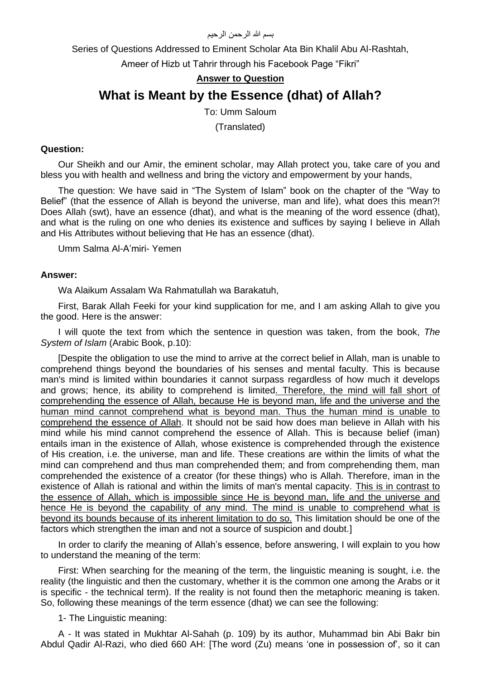## بسم الله الرحمن الرحيم

Series of Questions Addressed to Eminent Scholar Ata Bin Khalil Abu Al-Rashtah,

Ameer of Hizb ut Tahrir through his Facebook Page "Fikri"

# **Answer to Question**

# **What is Meant by the Essence (dhat) of Allah?**

To: Umm Saloum (Translated)

## **Question:**

Our Sheikh and our Amir, the eminent scholar, may Allah protect you, take care of you and bless you with health and wellness and bring the victory and empowerment by your hands,

The question: We have said in "The System of Islam" book on the chapter of the "Way to Belief" (that the essence of Allah is beyond the universe, man and life), what does this mean?! Does Allah (swt), have an essence (dhat), and what is the meaning of the word essence (dhat), and what is the ruling on one who denies its existence and suffices by saying I believe in Allah and His Attributes without believing that He has an essence (dhat).

Umm Salma Al-A'miri- Yemen

## **Answer:**

Wa Alaikum Assalam Wa Rahmatullah wa Barakatuh,

First, Barak Allah Feeki for your kind supplication for me, and I am asking Allah to give you the good. Here is the answer:

I will quote the text from which the sentence in question was taken, from the book, *The System of Islam* (Arabic Book, p.10):

[Despite the obligation to use the mind to arrive at the correct belief in Allah, man is unable to comprehend things beyond the boundaries of his senses and mental faculty. This is because man's mind is limited within boundaries it cannot surpass regardless of how much it develops and grows; hence, its ability to comprehend is limited. Therefore, the mind will fall short of comprehending the essence of Allah, because He is beyond man, life and the universe and the human mind cannot comprehend what is beyond man. Thus the human mind is unable to comprehend the essence of Allah. It should not be said how does man believe in Allah with his mind while his mind cannot comprehend the essence of Allah. This is because belief (iman) entails iman in the existence of Allah, whose existence is comprehended through the existence of His creation, i.e. the universe, man and life. These creations are within the limits of what the mind can comprehend and thus man comprehended them; and from comprehending them, man comprehended the existence of a creator (for these things) who is Allah. Therefore, iman in the existence of Allah is rational and within the limits of man's mental capacity. This is in contrast to the essence of Allah, which is impossible since He is beyond man, life and the universe and hence He is beyond the capability of any mind. The mind is unable to comprehend what is beyond its bounds because of its inherent limitation to do so. This limitation should be one of the factors which strengthen the iman and not a source of suspicion and doubt.]

In order to clarify the meaning of Allah's essence, before answering, I will explain to you how to understand the meaning of the term:

First: When searching for the meaning of the term, the linguistic meaning is sought, i.e. the reality (the linguistic and then the customary, whether it is the common one among the Arabs or it is specific - the technical term). If the reality is not found then the metaphoric meaning is taken. So, following these meanings of the term essence (dhat) we can see the following:

#### 1- The Linguistic meaning:

A - It was stated in Mukhtar Al-Sahah (p. 109) by its author, Muhammad bin Abi Bakr bin Abdul Qadir Al-Razi, who died 660 AH: [The word (Zu) means 'one in possession of', so it can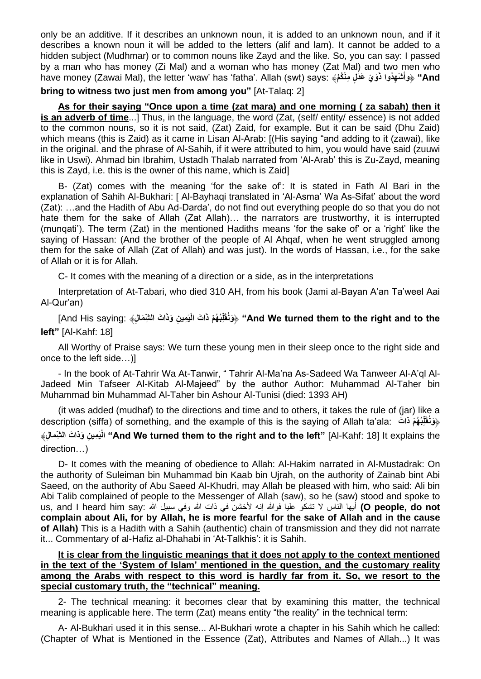only be an additive. If it describes an unknown noun, it is added to an unknown noun, and if it describes a known noun it will be added to the letters (alif and lam). It cannot be added to a hidden subject (Mudhmar) or to common nouns like Zayd and the like. So, you can say: I passed by a man who has money (Zi Mal) and a woman who has money (Zat Mal) and two men who have money (Zawai Mal), the letter 'waw' has 'fatha'. Allah (swt) says: ﴾**مْ ُنكْ مِ ل دْ عَ يْ وَ ْش ِه ُدوا ذَ And**﴿ **"وأ َ**

**bring to witness two just men from among you"** [At-Talaq: 2]

**As for their saying "Once upon a time (zat mara) and one morning ( za sabah) then it is an adverb of time**...] Thus, in the language, the word (Zat, (self/ entity/ essence) is not added to the common nouns, so it is not said, (Zat) Zaid, for example. But it can be said (Dhu Zaid) which means (this is Zaid) as it came in Lisan Al-Arab: [(His saying "and adding to it (zawai), like in the original. and the phrase of Al-Sahih, if it were attributed to him, you would have said (zuuwi like in Uswi). Ahmad bin Ibrahim, Ustadh Thalab narrated from 'Al-Arab' this is Zu-Zayd, meaning this is Zayd, i.e. this is the owner of this name, which is Zaid]

B- (Zat) comes with the meaning 'for the sake of': It is stated in Fath Al Bari in the explanation of Sahih Al-Bukhari: [ Al-Bayhaqi translated in 'Al-Asma' Wa As-Sifat' about the word (Zat): …and the Hadith of Abu Ad-Darda', do not find out everything people do so that you do not hate them for the sake of Allah (Zat Allah)… the narrators are trustworthy, it is interrupted (munqati'). The term (Zat) in the mentioned Hadiths means 'for the sake of' or a 'right' like the saying of Hassan: (And the brother of the people of Al Ahqaf, when he went struggled among them for the sake of Allah (Zat of Allah) and was just). In the words of Hassan, i.e., for the sake of Allah or it is for Allah.

C- It comes with the meaning of a direction or a side, as in the interpretations

Interpretation of At-Tabari, who died 310 AH, from his book (Jami al-Bayan A'an Ta'weel Aai Al-Qur'an)

And His saying: ﴿وَنُقَلِّبُهُمْ ذَاتَ الْيَمِينِ وَذَاتَ الشِّمَالِ﴾ :And His saying] ﴾ [And His saying] **left"** [Al-Kahf: 18]

All Worthy of Praise says: We turn these young men in their sleep once to the right side and once to the left side…)]

- In the book of At-Tahrir Wa At-Tanwir, " Tahrir Al-Ma'na As-Sadeed Wa Tanweer Al-A'ql Al-Jadeed Min Tafseer Al-Kitab Al-Majeed" by the author Author: Muhammad Al-Taher bin Muhammad bin Muhammad Al-Taher bin Ashour Al-Tunisi (died: 1393 AH)

(it was added (mudhaf) to the directions and time and to others, it takes the rule of (jar) like a description (siffa) of something, and the example of this is the saying of Allah ta'ala: **َذات مْ هُ ُب لِ** ﴿ **َونُقَ** ِلْكِمِينِ وَذَاتَ الشَّمِّعَالِ﴾ "And We turned them to the right and to the left" [Al-Kahf: 18] It explains the direction…)

D- It comes with the meaning of obedience to Allah: Al-Hakim narrated in Al-Mustadrak: On the authority of Suleiman bin Muhammad bin Kaab bin Ujrah, on the authority of Zainab bint Abi Saeed, on the authority of Abu Saeed Al-Khudri, may Allah be pleased with him, who said: Ali bin Abi Talib complained of people to the Messenger of Allah (saw), so he (saw) stood and spoke to us, and I heard him say: أيها الناس لا تشكو عليا فوالله إنه لأخشن في ذات الله وفي سبيل الله :us, and I heard him say **complain about Ali, for by Allah, he is more fearful for the sake of Allah and in the cause of Allah)** This is a Hadith with a Sahih (authentic) chain of transmission and they did not narrate it... Commentary of al-Hafiz al-Dhahabi in 'At-Talkhis': it is Sahih.

# **It is clear from the linguistic meanings that it does not apply to the context mentioned in the text of the 'System of Islam' mentioned in the question, and the customary reality among the Arabs with respect to this word is hardly far from it. So, we resort to the special customary truth, the "technical" meaning.**

2- The technical meaning: it becomes clear that by examining this matter, the technical meaning is applicable here. The term (Zat) means entity "the reality" in the technical term:

A- Al-Bukhari used it in this sense... Al-Bukhari wrote a chapter in his Sahih which he called: (Chapter of What is Mentioned in the Essence (Zat), Attributes and Names of Allah...) It was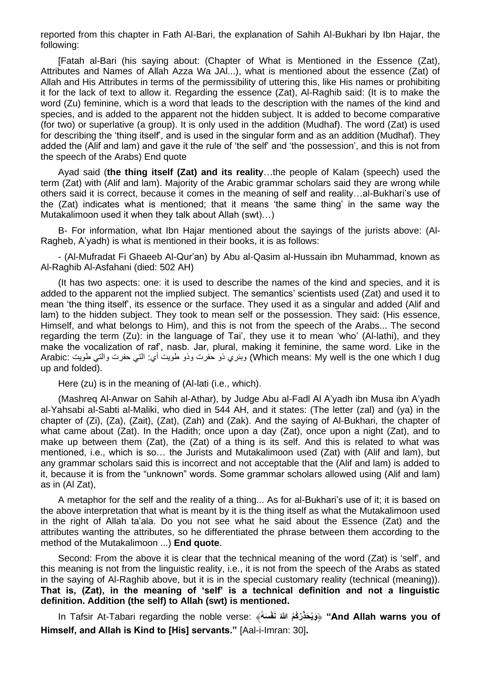reported from this chapter in Fath Al-Bari, the explanation of Sahih Al-Bukhari by Ibn Hajar, the following:

[Fatah al-Bari (his saying about: (Chapter of What is Mentioned in the Essence (Zat), Attributes and Names of Allah Azza Wa JAl...), what is mentioned about the essence (Zat) of Allah and His Attributes in terms of the permissibility of uttering this, like His names or prohibiting it for the lack of text to allow it. Regarding the essence (Zat), Al-Raghib said: (It is to make the word (Zu) feminine, which is a word that leads to the description with the names of the kind and species, and is added to the apparent not the hidden subject. It is added to become comparative (for two) or superlative (a group). It is only used in the addition (Mudhaf). The word (Zat) is used for describing the 'thing itself', and is used in the singular form and as an addition (Mudhaf). They added the (Alif and lam) and gave it the rule of 'the self' and 'the possession', and this is not from the speech of the Arabs) End quote

Ayad said (**the thing itself (Zat) and its reality**…the people of Kalam (speech) used the term (Zat) with (Alif and lam). Majority of the Arabic grammar scholars said they are wrong while others said it is correct, because it comes in the meaning of self and reality…al-Bukhari's use of the (Zat) indicates what is mentioned; that it means 'the same thing' in the same way the Mutakalimoon used it when they talk about Allah (swt)…)

B- For information, what Ibn Hajar mentioned about the sayings of the jurists above: (Al-Ragheb, A'yadh) is what is mentioned in their books, it is as follows:

- (Al-Mufradat Fi Ghaeeb Al-Qur'an) by Abu al-Qasim al-Hussain ibn Muhammad, known as Al-Raghib Al-Asfahani (died: 502 AH)

(It has two aspects: one: it is used to describe the names of the kind and species, and it is added to the apparent not the implied subject. The semantics' scientists used (Zat) and used it to mean 'the thing itself', its essence or the surface. They used it as a singular and added (Alif and lam) to the hidden subject. They took to mean self or the possession. They said: (His essence, Himself, and what belongs to Him), and this is not from the speech of the Arabs... The second regarding the term (Zu): in the language of Tai', they use it to mean 'who' (Al-lathi), and they make the vocalization of raf', nasb. Jar, plural, making it feminine, the same word. Like in the Arabic: طويت والتي حفرت التي :أي طويت وذو حفرت ذو وبئري) Which means: My well is the one which I dug up and folded).

Here (zu) is in the meaning of (Al-lati (i.e., which).

(Mashreq Al-Anwar on Sahih al-Athar), by Judge Abu al-Fadl Al A'yadh ibn Musa ibn A'yadh al-Yahsabi al-Sabti al-Maliki, who died in 544 AH, and it states: (The letter (zal) and (ya) in the chapter of (Zi), (Za), (Zait), (Zat), (Zah) and (Zak). And the saying of Al-Bukhari, the chapter of what came about (Zat). In the Hadith; once upon a day (Zat), once upon a night (Zat), and to make up between them (Zat), the (Zat) of a thing is its self. And this is related to what was mentioned, i.e., which is so… the Jurists and Mutakalimoon used (Zat) with (Alif and lam), but any grammar scholars said this is incorrect and not acceptable that the (Alif and lam) is added to it, because it is from the "unknown" words. Some grammar scholars allowed using (Alif and lam) as in (Al Zat),

A metaphor for the self and the reality of a thing... As for al-Bukhari's use of it; it is based on the above interpretation that what is meant by it is the thing itself as what the Mutakalimoon used in the right of Allah ta'ala. Do you not see what he said about the Essence (Zat) and the attributes wanting the attributes, so he differentiated the phrase between them according to the method of the Mutakalimoon ...) **End quote**.

Second: From the above it is clear that the technical meaning of the word (Zat) is 'self', and this meaning is not from the linguistic reality, i.e., it is not from the speech of the Arabs as stated in the saying of Al-Raghib above, but it is in the special customary reality (technical (meaning)). **That is, (Zat), in the meaning of 'self' is a technical definition and not a linguistic definition. Addition (the self) to Allah (swt) is mentioned.**

In Tafsir At-Tabari regarding the noble verse: ﴾**ُسهَ فْ َن ُر ُكُم هَّللاُ ذِحَ ُويَ"** ﴿ **And Allah warns you of Himself, and Allah is Kind to [His] servants."** [Aal-i-Imran: 30]**.**